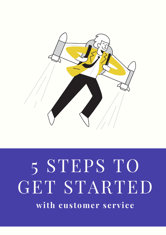

# 5 STEPS TO GET STARTED **with cus tomer service**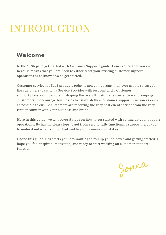## INTRODUCTION

### Welcome

to the "5 Steps to get started with Customer Support" guide. I am excited that you are here! It means that you are keen to either reset your existing customer support operations or to know how to get started.

Customer service for SaaS products today is more important than ever as it is so easy for the customers to switch a Service Provider with just one click. Customer support plays a critical role in shaping the overall customer experience – and keeping customers. I encourage businesses to establish their customer support function as early as possible to ensure customers are receiving the very best client service from the very first encounter with your business and brand.

Here in this guide, we will cover 5 steps on how to get started with setting up your support operations. By having clear steps to get from zero to fully functioning support helps you to understand what is important and to avoid common mistakes.

I hope this guide kick starts you into wanting to roll up your sleeves and getting started. I hope you feel inspired, motivated, and ready to start working on customer support function!

Jonna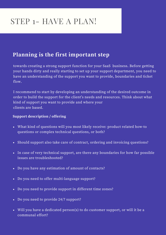## STEP 1- HAVE A PLAN!

### **Planning is the first important step**

towards creating a strong support function for your SaaS business. Before getting your hands dirty and really starting to set up your support department, you need to have an understanding of the support you want to provide, boundaries and ticket flow.

I recommend to start by developing an understanding of the desired outcome in order to build the support for the client's needs and resources. Think about what kind of support you want to provide and where your clients are based.

#### **Support description / offering**

- What kind of questions will you most likely receive: product related how-to questions or complex technical questions, or both?
- Should support also take care of contract, ordering and invoicing questions?
- In case of very technical support, are there any boundaries for how far possible issues are troubleshooted?
- Do you have any estimation of amount of contacts?
- Do you need to offer multi-language support?
- Do you need to provide support in different time zones?
- Do you need to provide 24/7 support?
- Will you have a dedicated person(s) to do customer support, or will it be a communal effort?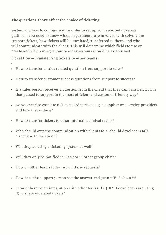#### **The questions above affect the choice of ticketing**

system and how to configure it. In order to set up your selected ticketing platform, you need to know which departments are involved with solving the support tickets, how tickets will be escalated/transferred to them, and who will communicate with the client. This will determine which fields to use or create and which integrations to other systems should be established

#### **Ticket flow—Transferring tickets to other teams:**

·

- How to transfer a sales related question from support to sales?
- How to transfer customer success questions from support to success?
- If a sales person receives a question from the client that they can't answer, how is that passed to support in the most efficient and customer friendly way?
- Do you need to escalate tickets to 3rd parties (e.g. a supplier or a service provider) and how that is done?
- How to transfer tickets to other internal technical teams?
- Who should own the communication with clients (e.g. should developers talk directly with the client?)
- Will they be using a ticketing system as well?
- Will they only be notified in Slack or in other group chats?
- How do other teams follow up on those requests?
- How does the support person see the answer and get notified about it?
- Should there be an integration with other tools (like JIRA if developers are using it) to share escalated tickets?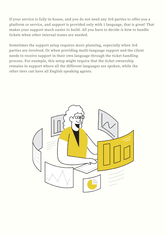If your service is fully in-house, and you do not need any 3rd parties to offer you a platform or service, and support is provided only with 1 language, that is great! That makes your support much easier to build. All you have to decide is how to handle tickets when other internal teams are needed.

Sometimes the support setup requires more planning, especially when 3rd parties are involved. Or when providing multi-language support and the client needs to receive support in their own language through the ticket handling process. For example, this setup might require that the ticket ownership remains in support where all the different languages are spoken, while the other tiers can have all English speaking agents.

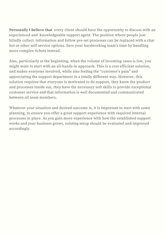**Personally I believe that** every client should have the opportunity to discuss with an experienced and knowledgeable support agent. The position where people just blindly collect information and follow pre-set processes can be replaced with a chat bot or other self-service options. Save your hardworking team's time by handling more complex tickets instead.

Also, particularly at the beginning, when the volume of incoming cases is low, you might want to start with an all-hands-in approach. This is a cost efficient solution, and makes everyone involved, while also feeling the "customer's pain" and appreciating the support department in a totally different way. However, this solution requires that everyone is motivated to do support, they know the product and processes inside out, they have the necessary soft skills to provide exceptional customer service and that information is well documented and communicated between all team members.

Whatever your situation and desired outcome is, it is important to start with some planning, to ensure you offer a great support experience with required internal processes in place. As you gain more experience with how the established support works and your business grows, existing setup should be evaluated and improved accordingly.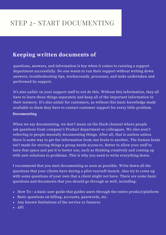## STEP 2- START DOCUMENTING

### **Keeping written documents of**

questions, answers, and information is key when it comes to running a support department successfully. No one wants to run their support without writing down answers, troubleshooting tips, workarounds, processes, and tasks undertaken and performed by support.

It's also unfair on your support staff to not do this. Without this information, they all have to learn these things separately and keep all of the important information in their memory. It's also unfair for customers, as without this basic knowledge made available to them they have to contact customer support for every little problem.

#### **Documenting**

When we say documenting, we don't mean on the Slack channel where people ask questions from company's Product department or colleagues. We also aren't referring to people mentally documenting things. After all, that is useless unless there is some way to get the information from one brain to another. The human brain isn't made for storing things a group needs access to. Better to allow your staff to have that space and put it to better use, such as thinking creatively and coming up with new solutions to problems. This is why you need to write everything down.

I recommend that you start documenting as soon as possible. Write down all the questions that your clients have during a pilot run/soft launch. Also try to come up with some questions of your own that a client might not have. There are some basic questions and documents that you should go through as well, including:

- How To—a basic user guide that guides users through the entire product/platform
- Basic questions on billing, accounts, passwords, etc.
- Any known limitations of the service or features
- $\bullet$  API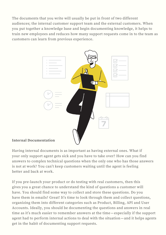The documents that you write will usually be put in front of two different audiences; the internal customer support team and the external customers. When you put together a knowledge base and begin documenting knowledge, it helps to train new employees and reduces how many support requests come in to the team as customers can learn from previous experience.



#### **Internal Documentation**

Having internal documents is as important as having external ones. What if your only support agent gets sick and you have to take over? How can you find answers to complex technical questions when the only one who has those answers is not at work? You can't keep customers waiting until the agent is feeling better and back at work.

If you pre-launch your product or do testing with real customers, then this gives you a great chance to understand the kind of questions a customer will have. You should find some way to collect and store these questions. Do you have them in emails? Great! It's time to look through them and collect questions, organizing them into different categories such as Product, Billing, API and User Accounts. Ideally, you should be documenting the questions and answers in real time as it's much easier to remember answers at the time—especially if the support agent had to perform internal actions to deal with the situation—and it helps agents get in the habit of documenting support requests.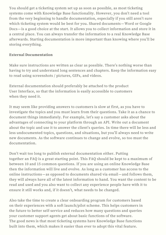You should get a ticketing system set up as soon as possible, as most ticketing systems come with Knowledge Base functionality. However, you don't need a tool from the very beginning to handle documentation, especially if you still aren't sure which ticketing system would be best for you. Shared documents—Word or Google Docs—is a good choice at the start. It allows you to collect information and store it in a central place. You can always transfer the information to a real Knowledge Base afterwards. Starting documentation is more important than knowing where you'll be storing everything.

#### **External Documentation**

Make sure instructions are written as clear as possible. There's nothing worse than having to try and understand long sentences and chapters. Keep the information easy to read using screenshots / pictures, GIFs, and videos.

External documentation should preferably be attached to the product User Interface, so that the information is easily accessible to customers when they need it.

It may seem like providing answers to customers is slow at first, as you have to investigate the topics and you must learn from their questions. Take it as a chance to document things immediately. For example, let's say a customer asks about the advantages of connecting to your platform through an API. Write out a document about the topic and use it to answer the client's queries. In time there will be less and less undocumented topics, questions, and situations, but you'll always need to write new documents. As the software continues to change and evolve, so too must the documentation.

Don't wait too long to publish external documentation either. Putting together an FAQ is a great starting point. This FAQ should be kept to a maximum of between 10 and 15 common questions. If you are using an online Knowledge Base then the information will live and evolve. As long as a customer has access to the online instructions—as opposed to documents shared via email—and follows them, they will always have all of the latest information to hand. You want the content to be read and used and you also want to collect any experience people have with it to ensure it still works and, if it doesn't, what needs to be changed.

Also take the time to create a clear onboarding program for customers based on their experiences with a soft launch/pilot scheme. This helps customers in the future to better self-service and reduces how many questions and queries your customer support agents get about basic functions of the software. The good news is that most ticketing systems have Knowledge Base functions built into them, which makes it easier than ever to adopt this vital feature.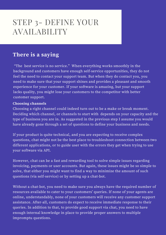## STEP 3- DEFINE YOUR AVAILABILITY

### **There is a saying**

"The best service is no service." When everything works smoothly in the background and customers have enough self-service opportunities, they do not feel the need to contact your support team. But when they do contact you, you need to make sure that your support shines and provides a pleasant and smooth experience for your customer. If your software is amazing, but your support lacks quality, you might lose your customers to the competitor with better customer support.

#### **Choosing channels**

Choosing a right channel could indeed turn out to be a make or break moment. Deciding which channel, or channels to start with depends on your capacity and the type of business you are in. As suggested in the previous step I assume you would have already gone through a set of questions to define your business and needs.

If your product is quite technical, and you are expecting to receive complex questions, chat might not be the best place to troubleshoot connection between two different applications, or to guide user with the errors they get when trying to use your software via API.

However, chat can be a fast and rewarding tool to solve simple issues regarding invoicing, payments or user accounts. But again, these issues might be so simple to solve, that either you might want to find a way to minimize the amount of such questions (via self-service) or by setting up a chat-bot.

Without a chat-bot, you need to make sure you always have the required number of resources available to cater to your customers' queries. If none of your agents are online, understandably, none of your customers will receive any customer support assistance. After-all, customers do expect to receive immediate response to their queries. In addition to that, to provide good support via chat, you need to have enough internal knowledge in place to provide proper answers to multiple impromptu questions.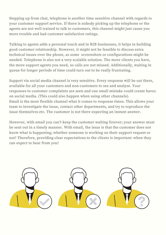Stepping up from chat, telephone is another time sensitive channel with regards to your customer support service. If there is nobody picking up the telephone or the agents are not well trained to talk to customers, this channel might just cause you more trouble and bad customer satisfaction ratings.

Talking to agents adds a personal touch and in B2B businesses, it helps in building good customer relationship. However, it might not be feasible to discuss extra technical issues over the phone, as some screenshots or configurations might be needed. Telephone is also not a very scalable solution. The more clients you have, the more support agents you need, so calls are not missed. Additionally, waiting in queue for longer periods of time could turn out to be really frustrating.

Support via social media channel is very sensitive. Every response will be out there, available for all your customers and non-customers to see and analyze. Your responses to customer complaints are seen and one small mistake could create havoc on social media. (This could also happen when using other channels). Email is the most flexible channel what it comes to response times. This allows your team to investigate the issue, contact other departments, and try to reproduce the issue themselves etc. The customer is not there expecting an instant answer.

However, with email you can't keep the customer waiting forever; your answer must be sent out in a timely manner. With email, the issue is that the customer does not know what is happening; whether someone is working on their support request or not? Therefore, providing clear expectations to the clients is important: when they can expect to hear from you?

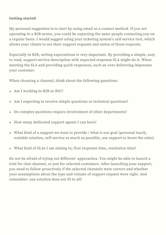#### **Getting started**

My personal suggestion is to start by using email as a contact method. If you are operating in a B2B sector, you could be expecting the same people contacting you on a regular basis. I would suggest using your ticketing system's self-service tool, which allows your clients to see their support requests and status of those requests.

Especially in B2B, setting expectations is very important. By providing a simple, easy to read, support service description with expected response SLA might do it. When meeting the SLA and providing quick responses, such an over delivering impresses your customer.

When choosing a channel, think about the following questions:

- Am I working in B2B or B2C?
- Am I expecting to receive simple questions or technical questions?
- Do complex questions require involvement of other departments?
- How many dedicated support agents I can have?  $\bullet$
- What kind of a support we want to provide / what is our goal (personal touch, scalable solution, self-service as much as possible, use support to boost the sales)
- What kind of SLAs I am aiming to; first response time, resolution time?

Do not be afraid of trying out different approaches. You might be able to launch a trial for chat channel, or just for selected customers. After launching your support, you need to follow proactively if the selected channels were correct and whether your assumptions about the type and volume of support request were right. And remember: one solution does not fit to all!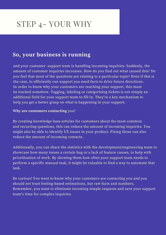## STEP 4- YOUR WHY

### **So, your business is running**

and your customer support team is handling incoming inquiries. Suddenly, the amount of customer inquiries increases. How do you find out what caused this? Do you feel that most of the questions are relating to a particular topic? Even if this is the case, to efficiently run support you need facts to drive future directions. In order to know why your customers are reaching your support, this must be tracked somehow. Tagging, labeling or categorizing tickets is not simply an additional field for your support team to fill in. They're a key mechanism to help you get a better grasp on what is happening in your support.

#### **Why are customers contacting** you?

By creating knowledge base articles for customers about the most common and recurring questions, this can reduce the amount of incoming inquiries. You might also be able to identify UX issues in your product. Fixing those can also reduce the amount of incoming contacts.

Additionally, you can share the statistics with the development/engineering team to showcase how many issues a certain bug or a lack of feature causes, to help with prioritization of work. By showing them how often your support team needs to perform a specific manual task, it might be valuable to find a way to automate that task.

Be curious! You want to know why your customers are contacting you and you should not trust feeling-based estimations, but raw facts and numbers. Remember, you want to eliminate incoming simple requests and save your support team's time for complex inquiries.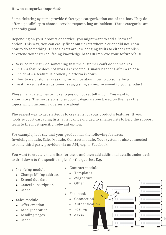#### **How to categorize inquiries?**

Some ticketing systems provide ticket type categorization out-of-the-box. They do offer a possibility to choose: service request, bug or incident. These categories are generally good.

Depending on your product or service, you might want to add a "how to" option. This way, you can easily filter out tickets where a client did not know how to do something. These tickets are low hanging fruits to either establish or extend your external facing knowledge base OR improve your software's UI.

- Service request do something that the customer can't do themselves
- Bug a feature does not work as expected. Usually happens after a release.
- Incident a feature is broken / platform is down
- How to a customer is asking for advice about how to do something
- Feature request a customer is suggesting an improvement to your product

These main categories or ticket types do not yet tell much. You want to know more! The next step is to support categorization based on themes - the topics which incoming queries are about.

The easiest way to get started is to create list of your product's features. If your tools support cascading lists, a list can be divided to smaller lists to help the support team to the most specific, relevant option.

For example, let's say that your product has the following features: Invoicing module, Sales Module, Contract module. Your system is also connected to some third party providers via an API, e.g. to Facebook.

You want to create a main lists for these and then add additional details under each to drill down to the specific topics for the queries. E.g.

- Invoicing module
	- Change billing address
	- Extend due date
	- Cancel subscription
	- Other
- Sales module ·
	- o Offer creation
	- Lead generation
	- Landing pages
	- o Other
- Contract module
	- Templates
	- eSignature
- o Other
- Facebook ·
- **c** Connection
	- Authentication
	- Posting
	- Pages

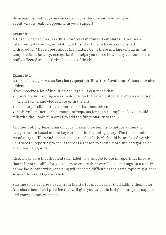By using this method, you can collect considerably more information about what is really happening in your support.

#### **Example 1**

A ticket is categorized as a **Bug - Contract module - Templates**. If you see a lot of requests coming in relating to this, it is time to have a serious talk with Product / Developers about the matter. Or, if there is a known bug in this template functionality, categorization helps you to see how many customers are really affected and suffering because of this bug.

#### **Example 2**

A ticket is categorized as **Service request (or How-to) - Invoicing - Change invoice address -**

If you receive a lot of inquiries about this, it can mean that:

- users are not finding a way to do this on their own (either there's an issue in the client facing knowledge base or in the UI)
- it is not possible for customers to do that themselves
- if there's an increasing amount of requests for such a simple task, you could talk with the Product in order to add the functionality to the UI.

Another option, depending on your ticketing system, is to opt for automatic categorization based on the keywords in the incoming query. The field should be mandatory to fill in and tickets categorized as "other" should be analyzed within your weekly reporting to see if there is a reason to create more sub-categories or even new categories.

Also, make sure that the field (tag, label) is available to use in reporting. Ensure that it is not possible for your team to create their own labels and tags on a totally adhoc basis; otherwise reporting will become difficult as the same topic might have several different tags or labels.

Starting to categorize tickets from the start is much easier than adding them later. It is also a beneficial practice that will give you valuable insights into your support and your customers' needs.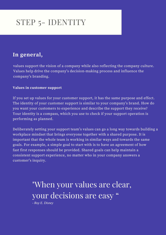## STEP 5- IDENTITY

### **In general,**

values support the vision of a company while also reflecting the company culture. Values help drive the company's decision-making process and influence the company's branding.

#### **Values in customer support**

If you set up values for your customer support, it has the same purpose and effect. The identity of your customer support is similar to your company's brand. How do you want your customers to experience and describe the support they receive? Your identity is a compass, which you use to check if your support operation is performing as planned.

Deliberately setting your support team's values can go a long way towards building a workplace mindset that brings everyone together with a shared purpose. It is important that the whole team is working in similar ways and towards the same goals. For example, a simple goal to start with is to have an agreement of how fast first responses should be provided. Shared goals can help maintain a consistent support experience, no matter who in your company answers a customer's inquiry.

> "When your values are clear, your decisions are easy "

*- Roy E. Disney*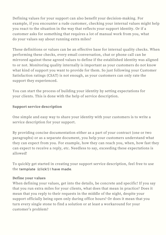Defining values for your support can also benefit your decision-making. For example, if you encounter a rude customer, checking your internal values might help you react to the situation in the way that reflects your support identity. Or if a customer asks for something that requires a lot of manual work from you, what do your values say about running extra miles?

These definitions or values can be an effective base for internal quality checks. When performing these checks, every email conversation, chat or phone call can be mirrored against these agreed values to define if the established identity was aligned to or not. Monitoring quality internally is important as your customers do not know what kind of support you want to provide for them. So just following your Customer Satisfaction ratings (CSAT) is not enough, as your customers can only rate the support they experienced.

You can start the process of building your identity by setting expectations for your clients. This is done with the help of service description.

#### **Support service description**

One simple and easy way to share your identity with your customers is to write a service description for your support.

By providing concise documentation either as a part of your contract (one or two paragraphs) or as a separate document, you help your customers understand what they can expect from you. For example, how they can reach you, when, how fast they can expect to receive a reply, etc. Needless to say, exceeding these expectations is allowed!

To quickly get started in creating your support service description, feel free to use the [template](https://www.fluentinsupport.com/description-template) [\(click!\)](https://www.fluentinsupport.com/description-template) I have made.

#### **Define your values**

When defining your values, get into the details, be concrete and specific! If you say that you run extra miles for your clients, what does that mean in practice? Does it mean that you reply to their requests in the middle of the night, despite your support officially being open only during office hours? Or does it mean that you turn every single stone to find a solution or at least a [workaround](http://openroadalliance.org/wp-content/uploads/2016/12/Open-Road-Customer-Service-Credo_2016.pdf) for your customer's problem?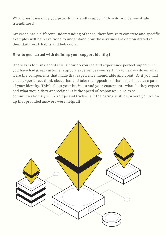What does it mean by you providing friendly support? How do you demonstrate friendliness?

Everyone has a different understanding of these, therefore very concrete and specific examples will help everyone to understand how these values are demonstrated in their daily work habits and behaviors.

#### **How to get started with defining your support identity?**

One way is to think about this is how do you see and experience perfect support? If you have had great customer support experiences yourself, try to narrow down what were the components that made that experience memorable and great. Or if you had a bad experience, think about that and take the opposite of that experience as a part of your identity. Think about your business and your customers - what do they expect and what would they appreciate? Is it the speed of responses? A relaxed communication style? Extra tips and tricks? Is it the caring attitude, where you follow up that provided answers were helpful?

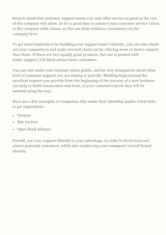Keep in mind that customer support teams can only offer service as good as the rest of the company will allow. So it's a good idea to connect your customer service values to the [company-wide](http://openroadalliance.org/wp-content/uploads/2016/12/Open-Road-Customer-Service-Credo_2016.pdf) values, as this can help reinforce consistency on the company level.

To get more inspiration for building your support team's identity, you can also check out your competitors and make yourself stand out by offering more or better support than them. If there are two equally good products, but one is packed with better support, it'll likely attract more customers.

You can also make your internal values public, and be very transparent about what kind of customer support you are aiming to provide. Building hype around the excellent support you provide from the beginning of the journey of a new business can help to build reassurance and trust, as your customers know they will be assisted along the way.

Here are a few examples of companies who made their identities public (click links to get inspiration) :

- [Verizon](https://www.verizon.com/about/sites/default/files/Verizon-Credo.pdf)
- Ritz [Carlton](http://openroadalliance.org/wp-content/uploads/2016/12/Open-Road-Customer-Service-Credo_2016.pdf)
- Open Road [Alliance](https://www.ritzcarlton.com/en/about/gold-standards)

Overall, use your support identity to your advantage, in order to boost trust and attract potential customers, while also [reinforcing](http://openroadalliance.org/wp-content/uploads/2016/12/Open-Road-Customer-Service-Credo_2016.pdf) your company's overall brand identity.